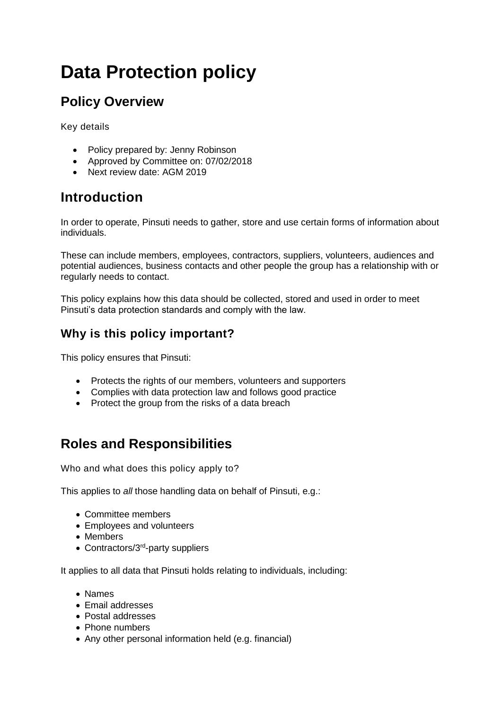# **Data Protection policy**

# **Policy Overview**

Key details

- Policy prepared by: Jenny Robinson
- Approved by Committee on: 07/02/2018
- Next review date: AGM 2019

# **Introduction**

In order to operate, Pinsuti needs to gather, store and use certain forms of information about individuals.

These can include members, employees, contractors, suppliers, volunteers, audiences and potential audiences, business contacts and other people the group has a relationship with or regularly needs to contact.

This policy explains how this data should be collected, stored and used in order to meet Pinsuti's data protection standards and comply with the law.

### **Why is this policy important?**

This policy ensures that Pinsuti:

- Protects the rights of our members, volunteers and supporters
- Complies with data protection law and follows good practice
- Protect the group from the risks of a data breach

# **Roles and Responsibilities**

Who and what does this policy apply to?

This applies to *all* those handling data on behalf of Pinsuti, e.g.:

- Committee members
- Employees and volunteers
- Members
- Contractors/3<sup>rd</sup>-party suppliers

It applies to all data that Pinsuti holds relating to individuals, including:

- Names
- Email addresses
- Postal addresses
- Phone numbers
- Any other personal information held (e.g. financial)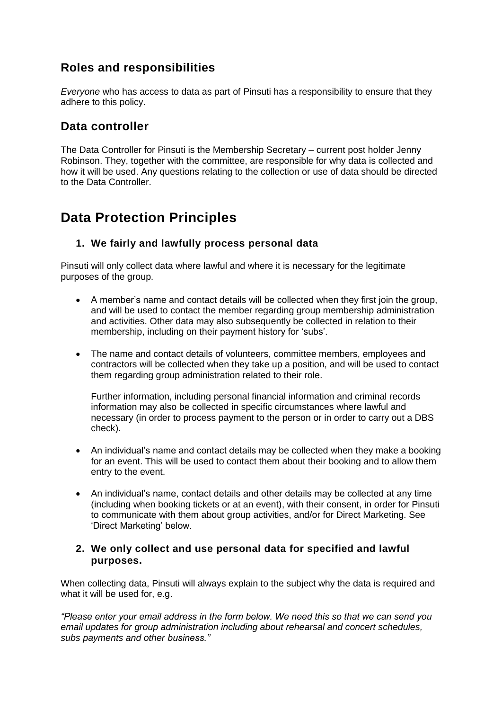### **Roles and responsibilities**

*Everyone* who has access to data as part of Pinsuti has a responsibility to ensure that they adhere to this policy.

#### **Data controller**

The Data Controller for Pinsuti is the Membership Secretary – current post holder Jenny Robinson. They, together with the committee, are responsible for why data is collected and how it will be used. Any questions relating to the collection or use of data should be directed to the Data Controller.

## **Data Protection Principles**

#### **1. We fairly and lawfully process personal data**

Pinsuti will only collect data where lawful and where it is necessary for the legitimate purposes of the group.

- A member's name and contact details will be collected when they first join the group, and will be used to contact the member regarding group membership administration and activities. Other data may also subsequently be collected in relation to their membership, including on their payment history for 'subs'.
- The name and contact details of volunteers, committee members, employees and contractors will be collected when they take up a position, and will be used to contact them regarding group administration related to their role.

Further information, including personal financial information and criminal records information may also be collected in specific circumstances where lawful and necessary (in order to process payment to the person or in order to carry out a DBS check).

- An individual's name and contact details may be collected when they make a booking for an event. This will be used to contact them about their booking and to allow them entry to the event.
- An individual's name, contact details and other details may be collected at any time (including when booking tickets or at an event), with their consent, in order for Pinsuti to communicate with them about group activities, and/or for Direct Marketing. See 'Direct Marketing' below.

#### **2. We only collect and use personal data for specified and lawful purposes.**

When collecting data, Pinsuti will always explain to the subject why the data is required and what it will be used for, e.g.

*"Please enter your email address in the form below. We need this so that we can send you email updates for group administration including about rehearsal and concert schedules, subs payments and other business."*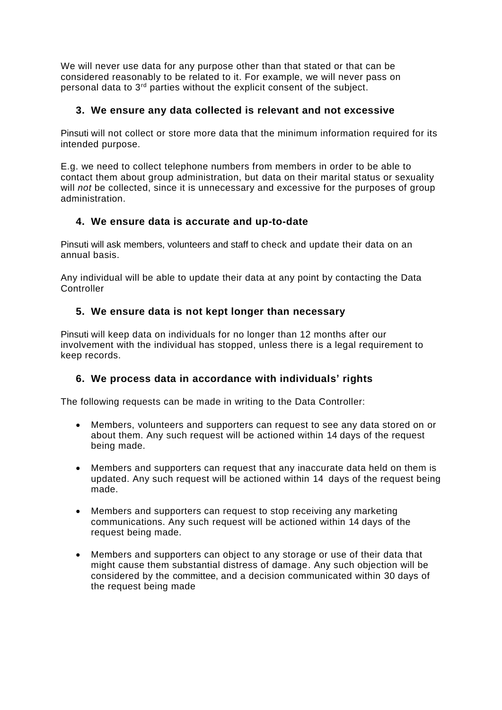We will never use data for any purpose other than that stated or that can be considered reasonably to be related to it. For example, we will never pass on personal data to  $3<sup>rd</sup>$  parties without the explicit consent of the subject.

#### **3. We ensure any data collected is relevant and not excessive**

Pinsuti will not collect or store more data that the minimum information required for its intended purpose.

E.g. we need to collect telephone numbers from members in order to be able to contact them about group administration, but data on their marital status or sexuality will *not* be collected, since it is unnecessary and excessive for the purposes of group administration.

#### **4. We ensure data is accurate and up-to-date**

Pinsuti will ask members, volunteers and staff to check and update their data on an annual basis.

Any individual will be able to update their data at any point by contacting the Data **Controller** 

#### **5. We ensure data is not kept longer than necessary**

Pinsuti will keep data on individuals for no longer than 12 months after our involvement with the individual has stopped, unless there is a legal requirement to keep records.

#### **6. We process data in accordance with individuals' rights**

The following requests can be made in writing to the Data Controller:

- Members, volunteers and supporters can request to see any data stored on or about them. Any such request will be actioned within 14 days of the request being made.
- Members and supporters can request that any inaccurate data held on them is updated. Any such request will be actioned within 14 days of the request being made.
- Members and supporters can request to stop receiving any marketing communications. Any such request will be actioned within 14 days of the request being made.
- Members and supporters can object to any storage or use of their data that might cause them substantial distress of damage. Any such objection will be considered by the committee, and a decision communicated within 30 days of the request being made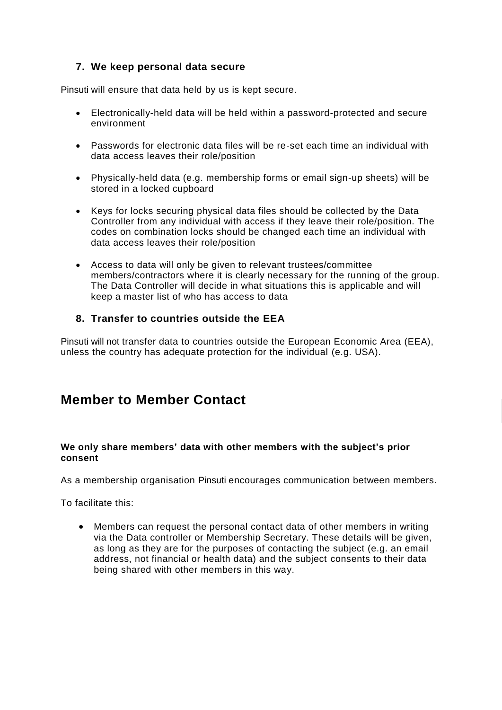#### **7. We keep personal data secure**

Pinsuti will ensure that data held by us is kept secure.

- Electronically-held data will be held within a password-protected and secure environment
- Passwords for electronic data files will be re-set each time an individual with data access leaves their role/position
- Physically-held data (e.g. membership forms or email sign-up sheets) will be stored in a locked cupboard
- Keys for locks securing physical data files should be collected by the Data Controller from any individual with access if they leave their role/position. The codes on combination locks should be changed each time an individual with data access leaves their role/position
- Access to data will only be given to relevant trustees/committee members/contractors where it is clearly necessary for the running of the group. The Data Controller will decide in what situations this is applicable and will keep a master list of who has access to data

#### **8. Transfer to countries outside the EEA**

Pinsuti will not transfer data to countries outside the European Economic Area (EEA), unless the country has adequate protection for the individual (e.g. USA).

### **Member to Member Contact**

#### **We only share members' data with other members with the subject's prior consent**

As a membership organisation Pinsuti encourages communication between members.

To facilitate this:

• Members can request the personal contact data of other members in writing via the Data controller or Membership Secretary. These details will be given, as long as they are for the purposes of contacting the subject (e.g. an email address, not financial or health data) and the subject consents to their data being shared with other members in this way.